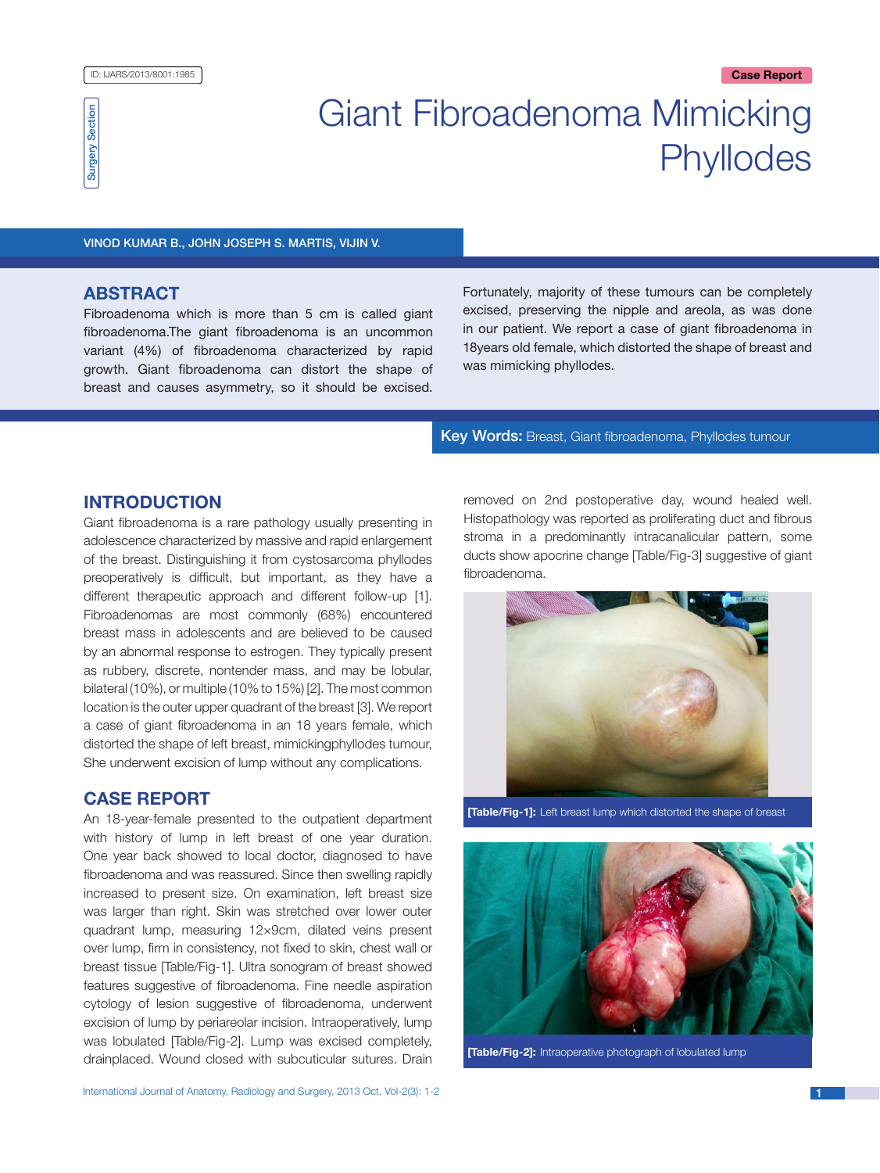

# Giant Fibroadenoma Mimicking **Phyllodes**

#### Vinod Kumar B., John Joseph S. Martis, Vijin V.

# **ABSTRACT**

Fibroadenoma which is more than 5 cm is called giant fibroadenoma.The giant fibroadenoma is an uncommon variant (4%) of fibroadenoma characterized by rapid growth. Giant fibroadenoma can distort the shape of breast and causes asymmetry, so it should be excised. Fortunately, majority of these tumours can be completely excised, preserving the nipple and areola, as was done in our patient. We report a case of giant fibroadenoma in 18years old female, which distorted the shape of breast and was mimicking phyllodes.

#### Key Words: Breast, Giant fibroadenoma, Phyllodes tumour

# **INTRODUCTION**

Giant fibroadenoma is a rare pathology usually presenting in adolescence characterized by massive and rapid enlargement of the breast. Distinguishing it from cystosarcoma phyllodes preoperatively is difficult, but important, as they have a different therapeutic approach and different follow-up [1]. Fibroadenomas are most commonly (68%) encountered breast mass in adolescents and are believed to be caused by an abnormal response to estrogen. They typically present as rubbery, discrete, nontender mass, and may be lobular, bilateral (10%), or multiple (10% to 15%) [2]. The most common location is the outer upper quadrant of the breast [3]. We report a case of giant fibroadenoma in an 18 years female, which distorted the shape of left breast, mimickingphyllodes tumour, She underwent excision of lump without any complications.

# **Case report**

An 18-year-female presented to the outpatient department with history of lump in left breast of one year duration. One year back showed to local doctor, diagnosed to have fibroadenoma and was reassured. Since then swelling rapidly increased to present size. On examination, left breast size was larger than right. Skin was stretched over lower outer quadrant lump, measuring 12×9cm, dilated veins present over lump, firm in consistency, not fixed to skin, chest wall or breast tissue [Table/Fig-1]. Ultra sonogram of breast showed features suggestive of fibroadenoma. Fine needle aspiration cytology of lesion suggestive of fibroadenoma, underwent excision of lump by periareolar incision. Intraoperatively, lump was lobulated [Table/Fig-2]. Lump was excised completely, drainplaced. Wound closed with subcuticular sutures. Drain removed on 2nd postoperative day, wound healed well. Histopathology was reported as proliferating duct and fibrous stroma in a predominantly intracanalicular pattern, some ducts show apocrine change [Table/Fig-3] suggestive of giant fibroadenoma.



**[Table/Fig-1]:** Left breast lump which distorted the shape of breast



**[Table/Fig-2]:** Intraoperative photograph of lobulated lump